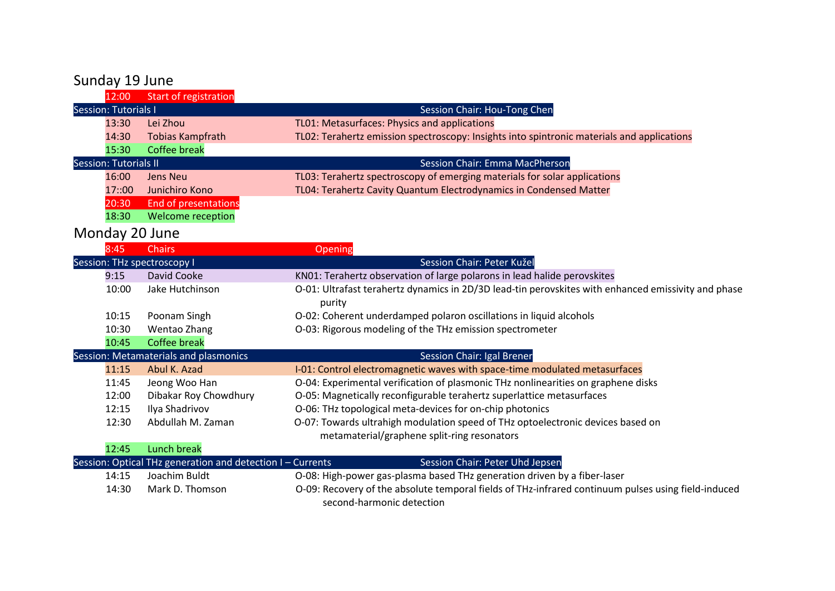## Sunday 19 June

|                      | 12:00                        | Start of registration                                      |                                                                                                               |
|----------------------|------------------------------|------------------------------------------------------------|---------------------------------------------------------------------------------------------------------------|
| Session: Tutorials I |                              |                                                            | Session Chair: Hou-Tong Chen                                                                                  |
|                      | 13:30                        | Lei Zhou                                                   | TL01: Metasurfaces: Physics and applications                                                                  |
|                      | 14:30                        | <b>Tobias Kampfrath</b>                                    | TL02: Terahertz emission spectroscopy: Insights into spintronic materials and applications                    |
|                      | 15:30                        | <b>Coffee break</b>                                        |                                                                                                               |
|                      | <b>Session: Tutorials II</b> |                                                            | <b>Session Chair: Emma MacPherson</b>                                                                         |
|                      | 16:00                        | <b>Jens Neu</b>                                            | TL03: Terahertz spectroscopy of emerging materials for solar applications                                     |
|                      | 17::00                       | Junichiro Kono                                             | TL04: Terahertz Cavity Quantum Electrodynamics in Condensed Matter                                            |
|                      | 20:30                        | End of presentations                                       |                                                                                                               |
|                      | 18:30                        | Welcome reception                                          |                                                                                                               |
|                      |                              | Monday 20 June                                             |                                                                                                               |
|                      | 8:45                         | <b>Chairs</b>                                              | Opening                                                                                                       |
|                      |                              | Session: THz spectroscopy I                                | Session Chair: Peter Kužel                                                                                    |
|                      | 9:15                         | <b>David Cooke</b>                                         | KN01: Terahertz observation of large polarons in lead halide perovskites                                      |
|                      | 10:00                        | Jake Hutchinson                                            | O-01: Ultrafast terahertz dynamics in 2D/3D lead-tin perovskites with enhanced emissivity and phase<br>purity |
|                      | 10:15                        | Poonam Singh                                               | O-02: Coherent underdamped polaron oscillations in liquid alcohols                                            |
|                      | 10:30                        | Wentao Zhang                                               | O-03: Rigorous modeling of the THz emission spectrometer                                                      |
|                      | 10:45                        | <b>Coffee break</b>                                        |                                                                                                               |
|                      |                              | Session: Metamaterials and plasmonics                      | Session Chair: Igal Brener                                                                                    |
|                      | 11:15                        | Abul K. Azad                                               | I-01: Control electromagnetic waves with space-time modulated metasurfaces                                    |
|                      | 11:45                        | Jeong Woo Han                                              | O-04: Experimental verification of plasmonic THz nonlinearities on graphene disks                             |
|                      | 12:00                        | Dibakar Roy Chowdhury                                      | O-05: Magnetically reconfigurable terahertz superlattice metasurfaces                                         |
|                      | 12:15                        | Ilya Shadrivov                                             | O-06: THz topological meta-devices for on-chip photonics                                                      |
|                      | 12:30                        | Abdullah M. Zaman                                          | O-07: Towards ultrahigh modulation speed of THz optoelectronic devices based on                               |
|                      |                              |                                                            | metamaterial/graphene split-ring resonators                                                                   |
|                      | 12:45                        | <b>Lunch break</b>                                         |                                                                                                               |
|                      |                              | Session: Optical THz generation and detection I - Currents | Session Chair: Peter Uhd Jepsen                                                                               |
|                      | 14:15                        | Joachim Buldt                                              | O-08: High-power gas-plasma based THz generation driven by a fiber-laser                                      |
|                      | 14:30                        | Mark D. Thomson                                            | O-09: Recovery of the absolute temporal fields of THz-infrared continuum pulses using field-induced           |

second-harmonic detection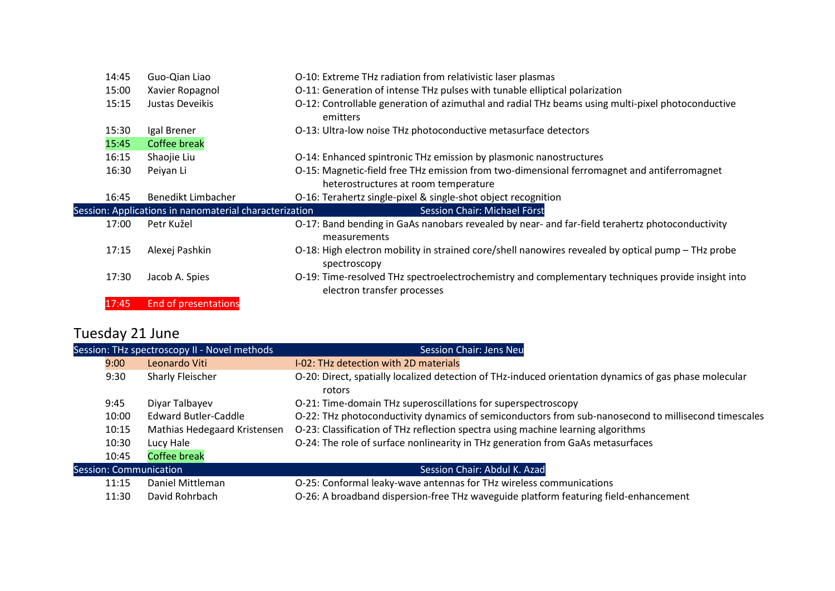| 14:45 | Guo-Qian Liao                                          | O-10: Extreme THz radiation from relativistic laser plasmas                                                                         |
|-------|--------------------------------------------------------|-------------------------------------------------------------------------------------------------------------------------------------|
| 15:00 | Xavier Ropagnol                                        | O-11: Generation of intense THz pulses with tunable elliptical polarization                                                         |
| 15:15 | Justas Deveikis                                        | O-12: Controllable generation of azimuthal and radial THz beams using multi-pixel photoconductive<br>emitters                       |
| 15:30 | Igal Brener                                            | O-13: Ultra-low noise THz photoconductive metasurface detectors                                                                     |
| 15:45 | <b>Coffee break</b>                                    |                                                                                                                                     |
| 16:15 | Shaojie Liu                                            | O-14: Enhanced spintronic THz emission by plasmonic nanostructures                                                                  |
| 16:30 | Peiyan Li                                              | O-15: Magnetic-field free THz emission from two-dimensional ferromagnet and antiferromagnet<br>heterostructures at room temperature |
| 16:45 | Benedikt Limbacher                                     | O-16: Terahertz single-pixel & single-shot object recognition                                                                       |
|       | Session: Applications in nanomaterial characterization | Session Chair: Michael Först                                                                                                        |
| 17:00 | Petr Kužel                                             | O-17: Band bending in GaAs nanobars revealed by near- and far-field terahertz photoconductivity<br>measurements                     |
| 17:15 | Alexej Pashkin                                         | O-18: High electron mobility in strained core/shell nanowires revealed by optical pump - THz probe<br>spectroscopy                  |
| 17:30 | Jacob A. Spies                                         | O-19: Time-resolved THz spectroelectrochemistry and complementary techniques provide insight into<br>electron transfer processes    |
| 17:45 | <b>End of presentations</b>                            |                                                                                                                                     |

## Tuesday 21 June

|       | Session: THz spectroscopy II - Novel methods | <b>Session Chair: Jens Neu</b>                                                                                   |
|-------|----------------------------------------------|------------------------------------------------------------------------------------------------------------------|
| 9:00  | Leonardo Viti                                | I-02: THz detection with 2D materials                                                                            |
| 9:30  | Sharly Fleischer                             | O-20: Direct, spatially localized detection of THz-induced orientation dynamics of gas phase molecular<br>rotors |
| 9:45  | Diyar Talbayev                               | O-21: Time-domain THz superoscillations for superspectroscopy                                                    |
| 10:00 | <b>Edward Butler-Caddle</b>                  | O-22: THz photoconductivity dynamics of semiconductors from sub-nanosecond to millisecond timescales             |
| 10:15 | Mathias Hedegaard Kristensen                 | O-23: Classification of THz reflection spectra using machine learning algorithms                                 |
| 10:30 | Lucy Hale                                    | O-24: The role of surface nonlinearity in THz generation from GaAs metasurfaces                                  |
| 10:45 | <b>Coffee break</b>                          |                                                                                                                  |
|       | Session: Communication                       | Session Chair: Abdul K. Azad                                                                                     |
| 11:15 | Daniel Mittleman                             | O-25: Conformal leaky-wave antennas for THz wireless communications                                              |
| 11:30 | David Rohrbach                               | O-26: A broadband dispersion-free THz waveguide platform featuring field-enhancement                             |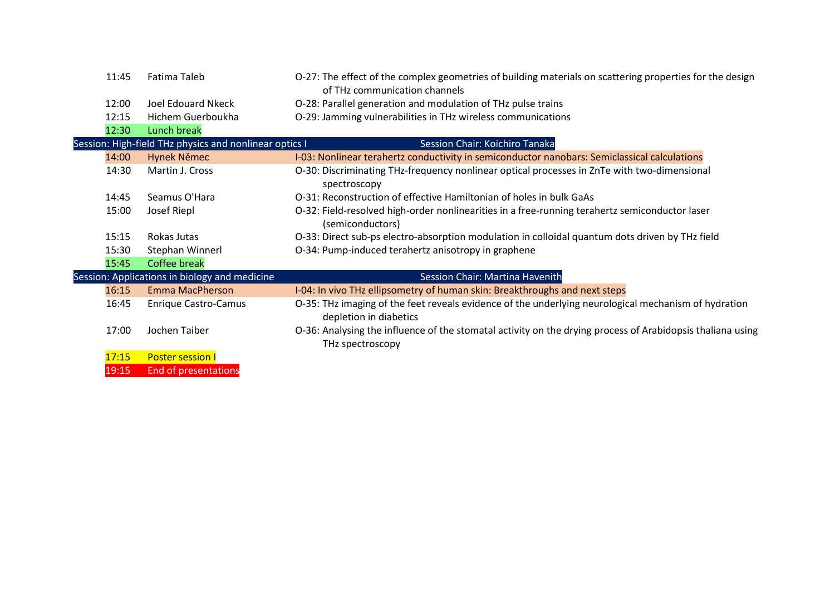| 11:45 | Fatima Taleb                                           | O-27: The effect of the complex geometries of building materials on scattering properties for the design<br>of THz communication channels |
|-------|--------------------------------------------------------|-------------------------------------------------------------------------------------------------------------------------------------------|
| 12:00 | Joel Edouard Nkeck                                     | O-28: Parallel generation and modulation of THz pulse trains                                                                              |
| 12:15 | Hichem Guerboukha                                      | O-29: Jamming vulnerabilities in THz wireless communications                                                                              |
| 12:30 | <b>Lunch break</b>                                     |                                                                                                                                           |
|       | Session: High-field THz physics and nonlinear optics I | Session Chair: Koichiro Tanaka                                                                                                            |
| 14:00 | Hynek Němec                                            | I-03: Nonlinear terahertz conductivity in semiconductor nanobars: Semiclassical calculations                                              |
| 14:30 | Martin J. Cross                                        | O-30: Discriminating THz-frequency nonlinear optical processes in ZnTe with two-dimensional<br>spectroscopy                               |
| 14:45 | Seamus O'Hara                                          | O-31: Reconstruction of effective Hamiltonian of holes in bulk GaAs                                                                       |
| 15:00 | Josef Riepl                                            | O-32: Field-resolved high-order nonlinearities in a free-running terahertz semiconductor laser<br>(semiconductors)                        |
| 15:15 | Rokas Jutas                                            | O-33: Direct sub-ps electro-absorption modulation in colloidal quantum dots driven by THz field                                           |
| 15:30 | Stephan Winnerl                                        | O-34: Pump-induced terahertz anisotropy in graphene                                                                                       |
| 15:45 | <b>Coffee break</b>                                    |                                                                                                                                           |
|       | Session: Applications in biology and medicine          | Session Chair: Martina Havenith                                                                                                           |
| 16:15 | <b>Emma MacPherson</b>                                 | I-04: In vivo THz ellipsometry of human skin: Breakthroughs and next steps                                                                |
| 16:45 | <b>Enrique Castro-Camus</b>                            | O-35: THz imaging of the feet reveals evidence of the underlying neurological mechanism of hydration<br>depletion in diabetics            |
| 17:00 | Jochen Taiber                                          | O-36: Analysing the influence of the stomatal activity on the drying process of Arabidopsis thaliana using<br>THz spectroscopy            |
| 17:15 | <b>Poster session I</b>                                |                                                                                                                                           |
| 19:15 | <b>End of presentations</b>                            |                                                                                                                                           |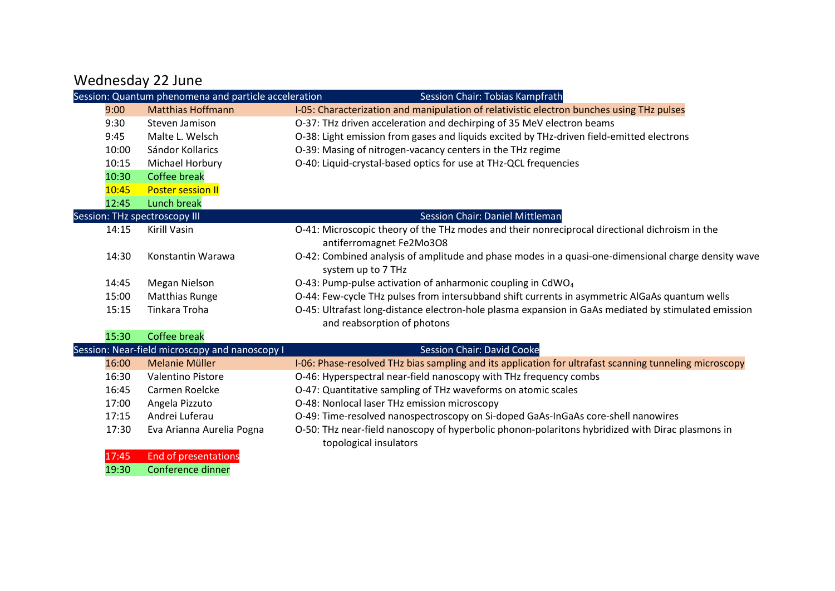## Wednesday 22 June

|                               | Session: Quantum phenomena and particle acceleration | <b>Session Chair: Tobias Kampfrath</b>                                                                                              |
|-------------------------------|------------------------------------------------------|-------------------------------------------------------------------------------------------------------------------------------------|
| 9:00                          | <b>Matthias Hoffmann</b>                             | I-05: Characterization and manipulation of relativistic electron bunches using THz pulses                                           |
| 9:30                          | Steven Jamison                                       | O-37: THz driven acceleration and dechirping of 35 MeV electron beams                                                               |
| 9:45                          | Malte L. Welsch                                      | O-38: Light emission from gases and liquids excited by THz-driven field-emitted electrons                                           |
| 10:00                         | Sándor Kollarics                                     | O-39: Masing of nitrogen-vacancy centers in the THz regime                                                                          |
| 10:15                         | Michael Horbury                                      | O-40: Liquid-crystal-based optics for use at THz-QCL frequencies                                                                    |
| 10:30                         | <b>Coffee break</b>                                  |                                                                                                                                     |
| 10:45                         | <b>Poster session II</b>                             |                                                                                                                                     |
| 12:45                         | <b>Lunch break</b>                                   |                                                                                                                                     |
| Session: THz spectroscopy III |                                                      | <b>Session Chair: Daniel Mittleman</b>                                                                                              |
| 14:15                         | Kirill Vasin                                         | O-41: Microscopic theory of the THz modes and their nonreciprocal directional dichroism in the<br>antiferromagnet Fe2Mo3O8          |
| 14:30                         | Konstantin Warawa                                    | O-42: Combined analysis of amplitude and phase modes in a quasi-one-dimensional charge density wave<br>system up to 7 THz           |
| 14:45                         | Megan Nielson                                        | O-43: Pump-pulse activation of anharmonic coupling in CdWO <sub>4</sub>                                                             |
| 15:00                         | <b>Matthias Runge</b>                                | O-44: Few-cycle THz pulses from intersubband shift currents in asymmetric AlGaAs quantum wells                                      |
| 15:15                         | Tinkara Troha                                        | O-45: Ultrafast long-distance electron-hole plasma expansion in GaAs mediated by stimulated emission<br>and reabsorption of photons |
| 15:30                         | <b>Coffee break</b>                                  |                                                                                                                                     |
|                               | Session: Near-field microscopy and nanoscopy I       | <b>Session Chair: David Cooke</b>                                                                                                   |
| 16:00                         | <b>Melanie Müller</b>                                | I-06: Phase-resolved THz bias sampling and its application for ultrafast scanning tunneling microscopy                              |
| 16:30                         | Valentino Pistore                                    | O-46: Hyperspectral near-field nanoscopy with THz frequency combs                                                                   |
| 16:45                         | Carmen Roelcke                                       | O-47: Quantitative sampling of THz waveforms on atomic scales                                                                       |
| 17:00                         | Angela Pizzuto                                       | O-48: Nonlocal laser THz emission microscopy                                                                                        |
| 17:15                         | Andrei Luferau                                       | O-49: Time-resolved nanospectroscopy on Si-doped GaAs-InGaAs core-shell nanowires                                                   |
| 17:30                         | Eva Arianna Aurelia Pogna                            | O-50: THz near-field nanoscopy of hyperbolic phonon-polaritons hybridized with Dirac plasmons in<br>topological insulators          |
| 17:45                         | <b>End of presentations</b>                          |                                                                                                                                     |
| 19:30                         | Conference dinner                                    |                                                                                                                                     |